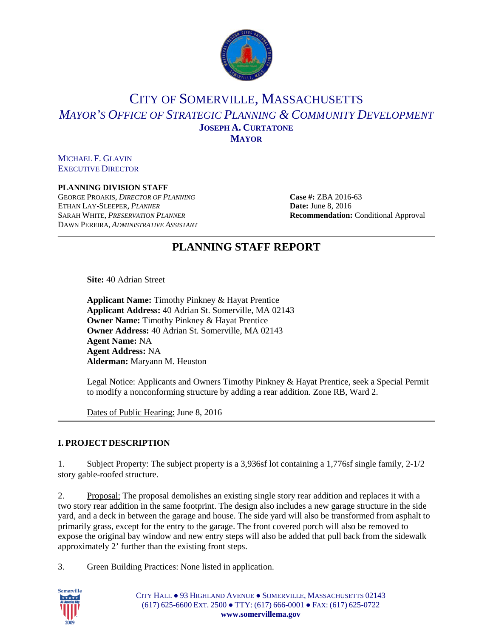

## CITY OF SOMERVILLE, MASSACHUSETTS *MAYOR'S OFFICE OF STRATEGIC PLANNING & COMMUNITY DEVELOPMENT* **JOSEPH A. CURTATONE MAYOR**

MICHAEL F. GLAVIN EXECUTIVE DIRECTOR

#### **PLANNING DIVISION STAFF**

GEORGE PROAKIS, *DIRECTOR OF PLANNING* **Case #:** ZBA 2016-63 ETHAN LAY-SLEEPER, *PLANNER* **Date:** June 8, 2016 SARAH WHITE, *PRESERVATION PLANNER* **Recommendation:** Conditional Approval DAWN PEREIRA, *ADMINISTRATIVE ASSISTANT*

# **PLANNING STAFF REPORT**

**Site:** 40 Adrian Street

**Applicant Name:** Timothy Pinkney & Hayat Prentice **Applicant Address:** 40 Adrian St. Somerville, MA 02143 **Owner Name:** Timothy Pinkney & Hayat Prentice **Owner Address:** 40 Adrian St. Somerville, MA 02143 **Agent Name:** NA **Agent Address:** NA **Alderman:** Maryann M. Heuston

Legal Notice: Applicants and Owners Timothy Pinkney & Hayat Prentice, seek a Special Permit to modify a nonconforming structure by adding a rear addition. Zone RB, Ward 2.

Dates of Public Hearing: June 8, 2016

## **I. PROJECT DESCRIPTION**

1. Subject Property: The subject property is a 3,936sf lot containing a 1,776sf single family, 2-1/2 story gable-roofed structure.

2. Proposal: The proposal demolishes an existing single story rear addition and replaces it with a two story rear addition in the same footprint. The design also includes a new garage structure in the side yard, and a deck in between the garage and house. The side yard will also be transformed from asphalt to primarily grass, except for the entry to the garage. The front covered porch will also be removed to expose the original bay window and new entry steps will also be added that pull back from the sidewalk approximately 2' further than the existing front steps.

3. Green Building Practices: None listed in application.



CITY HALL ● 93 HIGHLAND AVENUE ● SOMERVILLE, MASSACHUSETTS 02143 (617) 625-6600 EXT. 2500 ● TTY: (617) 666-0001 ● FAX: (617) 625-0722 **www.somervillema.gov**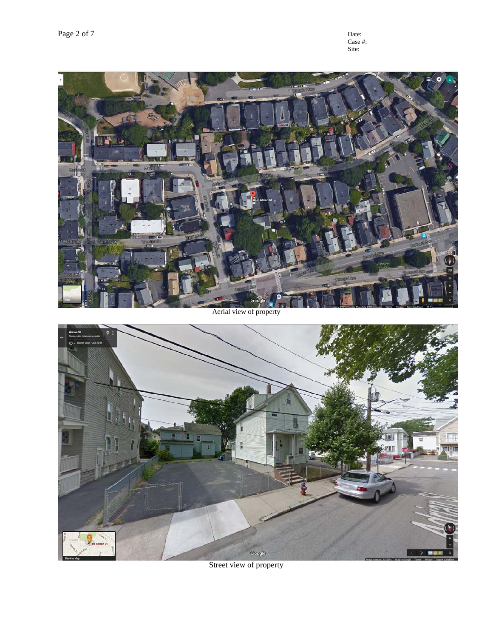Street view of property



Aerial view of property



Case #: Site: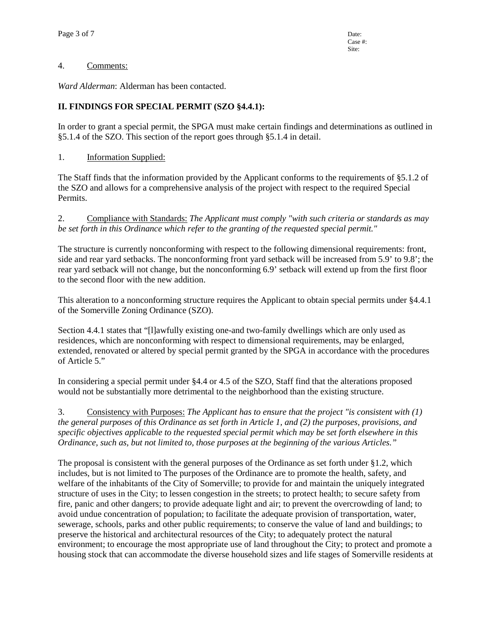#### 4. Comments:

*Ward Alderman*: Alderman has been contacted.

## **II. FINDINGS FOR SPECIAL PERMIT (SZO §4.4.1):**

In order to grant a special permit, the SPGA must make certain findings and determinations as outlined in §5.1.4 of the SZO. This section of the report goes through §5.1.4 in detail.

1. Information Supplied:

The Staff finds that the information provided by the Applicant conforms to the requirements of §5.1.2 of the SZO and allows for a comprehensive analysis of the project with respect to the required Special Permits.

2. Compliance with Standards: *The Applicant must comply "with such criteria or standards as may be set forth in this Ordinance which refer to the granting of the requested special permit."*

The structure is currently nonconforming with respect to the following dimensional requirements: front, side and rear yard setbacks. The nonconforming front yard setback will be increased from 5.9' to 9.8'; the rear yard setback will not change, but the nonconforming 6.9' setback will extend up from the first floor to the second floor with the new addition.

This alteration to a nonconforming structure requires the Applicant to obtain special permits under §4.4.1 of the Somerville Zoning Ordinance (SZO).

Section 4.4.1 states that "[l]awfully existing one-and two-family dwellings which are only used as residences, which are nonconforming with respect to dimensional requirements, may be enlarged, extended, renovated or altered by special permit granted by the SPGA in accordance with the procedures of Article 5."

In considering a special permit under §4.4 or 4.5 of the SZO, Staff find that the alterations proposed would not be substantially more detrimental to the neighborhood than the existing structure.

3. Consistency with Purposes: *The Applicant has to ensure that the project "is consistent with (1) the general purposes of this Ordinance as set forth in Article 1, and (2) the purposes, provisions, and specific objectives applicable to the requested special permit which may be set forth elsewhere in this Ordinance, such as, but not limited to, those purposes at the beginning of the various Articles."* 

The proposal is consistent with the general purposes of the Ordinance as set forth under §1.2, which includes, but is not limited to The purposes of the Ordinance are to promote the health, safety, and welfare of the inhabitants of the City of Somerville; to provide for and maintain the uniquely integrated structure of uses in the City; to lessen congestion in the streets; to protect health; to secure safety from fire, panic and other dangers; to provide adequate light and air; to prevent the overcrowding of land; to avoid undue concentration of population; to facilitate the adequate provision of transportation, water, sewerage, schools, parks and other public requirements; to conserve the value of land and buildings; to preserve the historical and architectural resources of the City; to adequately protect the natural environment; to encourage the most appropriate use of land throughout the City; to protect and promote a housing stock that can accommodate the diverse household sizes and life stages of Somerville residents at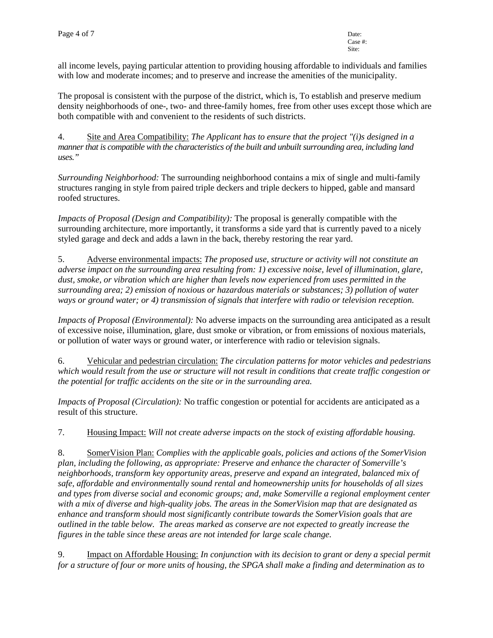all income levels, paying particular attention to providing housing affordable to individuals and families with low and moderate incomes; and to preserve and increase the amenities of the municipality.

The proposal is consistent with the purpose of the district, which is, To establish and preserve medium density neighborhoods of one-, two- and three-family homes, free from other uses except those which are both compatible with and convenient to the residents of such districts.

4. Site and Area Compatibility: *The Applicant has to ensure that the project "(i)s designed in a manner that is compatible with the characteristics of the built and unbuilt surrounding area, including land uses."*

*Surrounding Neighborhood:* The surrounding neighborhood contains a mix of single and multi-family structures ranging in style from paired triple deckers and triple deckers to hipped, gable and mansard roofed structures.

*Impacts of Proposal (Design and Compatibility):* The proposal is generally compatible with the surrounding architecture, more importantly, it transforms a side yard that is currently paved to a nicely styled garage and deck and adds a lawn in the back, thereby restoring the rear yard.

5. Adverse environmental impacts: *The proposed use, structure or activity will not constitute an adverse impact on the surrounding area resulting from: 1) excessive noise, level of illumination, glare, dust, smoke, or vibration which are higher than levels now experienced from uses permitted in the surrounding area; 2) emission of noxious or hazardous materials or substances; 3) pollution of water ways or ground water; or 4) transmission of signals that interfere with radio or television reception.*

*Impacts of Proposal (Environmental):* No adverse impacts on the surrounding area anticipated as a result of excessive noise, illumination, glare, dust smoke or vibration, or from emissions of noxious materials, or pollution of water ways or ground water, or interference with radio or television signals.

6. Vehicular and pedestrian circulation: *The circulation patterns for motor vehicles and pedestrians which would result from the use or structure will not result in conditions that create traffic congestion or the potential for traffic accidents on the site or in the surrounding area.*

*Impacts of Proposal (Circulation):* No traffic congestion or potential for accidents are anticipated as a result of this structure.

7. Housing Impact: *Will not create adverse impacts on the stock of existing affordable housing.*

8. SomerVision Plan: *Complies with the applicable goals, policies and actions of the SomerVision plan, including the following, as appropriate: Preserve and enhance the character of Somerville's neighborhoods, transform key opportunity areas, preserve and expand an integrated, balanced mix of safe, affordable and environmentally sound rental and homeownership units for households of all sizes and types from diverse social and economic groups; and, make Somerville a regional employment center with a mix of diverse and high-quality jobs. The areas in the SomerVision map that are designated as enhance and transform should most significantly contribute towards the SomerVision goals that are outlined in the table below. The areas marked as conserve are not expected to greatly increase the figures in the table since these areas are not intended for large scale change.*

9. Impact on Affordable Housing: *In conjunction with its decision to grant or deny a special permit for a structure of four or more units of housing, the SPGA shall make a finding and determination as to*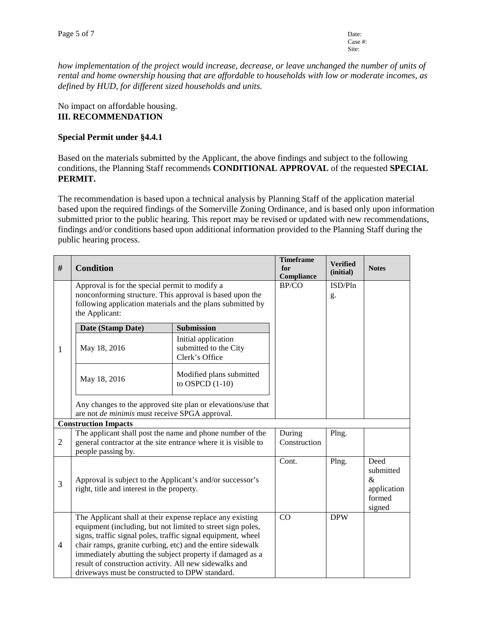*how implementation of the project would increase, decrease, or leave unchanged the number of units of rental and home ownership housing that are affordable to households with low or moderate incomes, as defined by HUD, for different sized households and units.*

#### No impact on affordable housing. **III. RECOMMENDATION**

### **Special Permit under §4.4.1**

Based on the materials submitted by the Applicant, the above findings and subject to the following conditions, the Planning Staff recommends **CONDITIONAL APPROVAL** of the requested **SPECIAL PERMIT.** 

The recommendation is based upon a technical analysis by Planning Staff of the application material based upon the required findings of the Somerville Zoning Ordinance, and is based only upon information submitted prior to the public hearing. This report may be revised or updated with new recommendations, findings and/or conditions based upon additional information provided to the Planning Staff during the public hearing process.

| #              | <b>Condition</b>                                                                                                                                                                                                                                                                                                                                                                                                                |                                                                | <b>Timeframe</b><br>for<br>Compliance | <b>Verified</b><br>(initial) | <b>Notes</b>                                                 |  |  |  |
|----------------|---------------------------------------------------------------------------------------------------------------------------------------------------------------------------------------------------------------------------------------------------------------------------------------------------------------------------------------------------------------------------------------------------------------------------------|----------------------------------------------------------------|---------------------------------------|------------------------------|--------------------------------------------------------------|--|--|--|
|                | Approval is for the special permit to modify a<br>nonconforming structure. This approval is based upon the<br>following application materials and the plans submitted by<br>the Applicant:                                                                                                                                                                                                                                      |                                                                | BP/CO                                 | ISD/Pln<br>g.                |                                                              |  |  |  |
| 1              | Date (Stamp Date)                                                                                                                                                                                                                                                                                                                                                                                                               | <b>Submission</b>                                              |                                       |                              |                                                              |  |  |  |
|                | May 18, 2016                                                                                                                                                                                                                                                                                                                                                                                                                    | Initial application<br>submitted to the City<br>Clerk's Office |                                       |                              |                                                              |  |  |  |
|                | May 18, 2016                                                                                                                                                                                                                                                                                                                                                                                                                    | Modified plans submitted<br>to OSPCD $(1-10)$                  |                                       |                              |                                                              |  |  |  |
|                | Any changes to the approved site plan or elevations/use that<br>are not de minimis must receive SPGA approval.                                                                                                                                                                                                                                                                                                                  |                                                                |                                       |                              |                                                              |  |  |  |
|                | <b>Construction Impacts</b>                                                                                                                                                                                                                                                                                                                                                                                                     |                                                                |                                       |                              |                                                              |  |  |  |
| $\overline{2}$ | The applicant shall post the name and phone number of the<br>general contractor at the site entrance where it is visible to<br>people passing by.                                                                                                                                                                                                                                                                               |                                                                | During<br>Construction                | Plng.                        |                                                              |  |  |  |
| 3              | Approval is subject to the Applicant's and/or successor's<br>right, title and interest in the property.                                                                                                                                                                                                                                                                                                                         |                                                                | Cont.                                 | Plng.                        | Deed<br>submitted<br>$\&$<br>application<br>formed<br>signed |  |  |  |
| $\overline{4}$ | The Applicant shall at their expense replace any existing<br>equipment (including, but not limited to street sign poles,<br>signs, traffic signal poles, traffic signal equipment, wheel<br>chair ramps, granite curbing, etc) and the entire sidewalk<br>immediately abutting the subject property if damaged as a<br>result of construction activity. All new sidewalks and<br>driveways must be constructed to DPW standard. |                                                                | CO                                    | <b>DPW</b>                   |                                                              |  |  |  |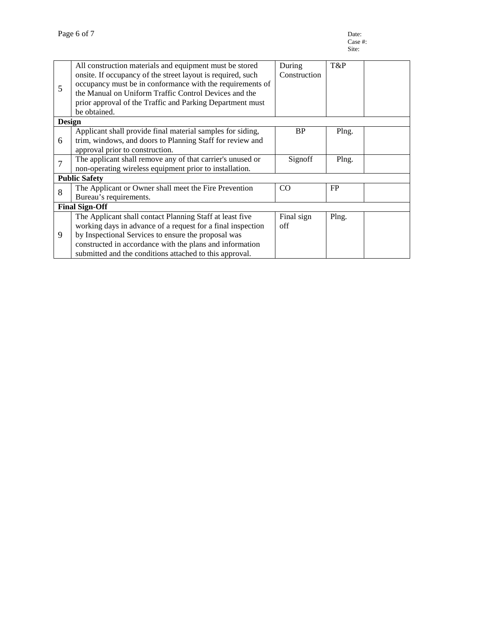| 5                     | All construction materials and equipment must be stored<br>onsite. If occupancy of the street layout is required, such | During<br>Construction | T&P   |  |  |  |  |
|-----------------------|------------------------------------------------------------------------------------------------------------------------|------------------------|-------|--|--|--|--|
|                       |                                                                                                                        |                        |       |  |  |  |  |
|                       | occupancy must be in conformance with the requirements of                                                              |                        |       |  |  |  |  |
|                       | the Manual on Uniform Traffic Control Devices and the                                                                  |                        |       |  |  |  |  |
|                       | prior approval of the Traffic and Parking Department must                                                              |                        |       |  |  |  |  |
|                       | be obtained.                                                                                                           |                        |       |  |  |  |  |
| <b>Design</b>         |                                                                                                                        |                        |       |  |  |  |  |
| 6                     | Applicant shall provide final material samples for siding,                                                             | <b>BP</b>              | Plng. |  |  |  |  |
|                       | trim, windows, and doors to Planning Staff for review and                                                              |                        |       |  |  |  |  |
|                       | approval prior to construction.                                                                                        |                        |       |  |  |  |  |
| $\overline{7}$        | The applicant shall remove any of that carrier's unused or                                                             | Signoff                | Plng. |  |  |  |  |
|                       | non-operating wireless equipment prior to installation.                                                                |                        |       |  |  |  |  |
| <b>Public Safety</b>  |                                                                                                                        |                        |       |  |  |  |  |
| 8                     | The Applicant or Owner shall meet the Fire Prevention                                                                  | CO                     | FP    |  |  |  |  |
|                       | Bureau's requirements.                                                                                                 |                        |       |  |  |  |  |
| <b>Final Sign-Off</b> |                                                                                                                        |                        |       |  |  |  |  |
| 9                     | The Applicant shall contact Planning Staff at least five                                                               | Final sign             | Plng. |  |  |  |  |
|                       | working days in advance of a request for a final inspection                                                            | off                    |       |  |  |  |  |
|                       | by Inspectional Services to ensure the proposal was                                                                    |                        |       |  |  |  |  |
|                       | constructed in accordance with the plans and information                                                               |                        |       |  |  |  |  |
|                       | submitted and the conditions attached to this approval.                                                                |                        |       |  |  |  |  |